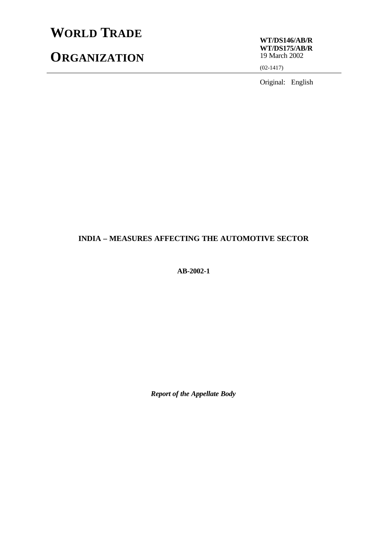# **WORLD TRADE**

## **ORGANIZATION**

**WT/DS146/AB/R WT/DS175/AB/R** 19 March 2002

(02-1417)

Original: English

## **INDIA – MEASURES AFFECTING THE AUTOMOTIVE SECTOR**

**AB-2002-1**

*Report of the Appellate Body*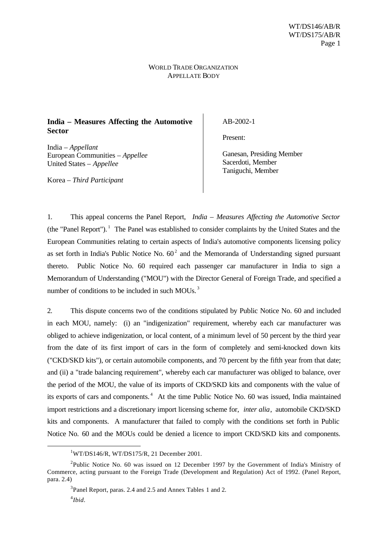#### WORLD TRADE ORGANIZATION APPELLATE BODY

### **India – Measures Affecting the Automotive Sector**

India – *Appellant* European Communities – *Appellee* United States – *Appellee*

Korea – *Third Participant*

AB-2002-1

Present:

Ganesan, Presiding Member Sacerdoti, Member Taniguchi, Member

1. This appeal concerns the Panel Report, *India – Measures Affecting the Automotive Sector* (the "Panel Report").<sup>1</sup> The Panel was established to consider complaints by the United States and the European Communities relating to certain aspects of India's automotive components licensing policy as set forth in India's Public Notice No.  $60^2$  and the Memoranda of Understanding signed pursuant thereto. Public Notice No. 60 required each passenger car manufacturer in India to sign a Memorandum of Understanding ("MOU") with the Director General of Foreign Trade, and specified a number of conditions to be included in such MOUs.<sup>3</sup>

2. This dispute concerns two of the conditions stipulated by Public Notice No. 60 and included in each MOU, namely: (i) an "indigenization" requirement, whereby each car manufacturer was obliged to achieve indigenization, or local content, of a minimum level of 50 percent by the third year from the date of its first import of cars in the form of completely and semi-knocked down kits ("CKD/SKD kits"), or certain automobile components, and 70 percent by the fifth year from that date; and (ii) a "trade balancing requirement", whereby each car manufacturer was obliged to balance, over the period of the MOU, the value of its imports of CKD/SKD kits and components with the value of its exports of cars and components.<sup>4</sup> At the time Public Notice No. 60 was issued, India maintained import restrictions and a discretionary import licensing scheme for, *inter alia*, automobile CKD/SKD kits and components. A manufacturer that failed to comply with the conditions set forth in Public Notice No. 60 and the MOUs could be denied a licence to import CKD/SKD kits and components.

 $1$ WT/DS146/R, WT/DS175/R, 21 December 2001.

<sup>&</sup>lt;sup>2</sup>Public Notice No. 60 was issued on 12 December 1997 by the Government of India's Ministry of Commerce, acting pursuant to the Foreign Trade (Development and Regulation) Act of 1992. (Panel Report, para. 2.4)

<sup>&</sup>lt;sup>3</sup>Panel Report, paras. 2.4 and 2.5 and Annex Tables 1 and 2.

<sup>4</sup> *Ibid*.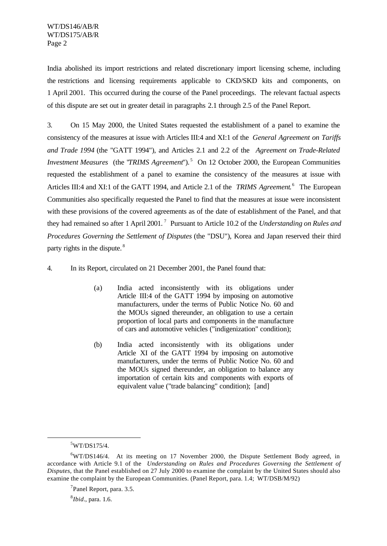India abolished its import restrictions and related discretionary import licensing scheme, including the restrictions and licensing requirements applicable to CKD/SKD kits and components, on 1 April 2001. This occurred during the course of the Panel proceedings. The relevant factual aspects of this dispute are set out in greater detail in paragraphs 2.1 through 2.5 of the Panel Report.

3. On 15 May 2000, the United States requested the establishment of a panel to examine the consistency of the measures at issue with Articles III:4 and XI:1 of the *General Agreement on Tariffs and Trade 1994* (the "GATT 1994"), and Articles 2.1 and 2.2 of the *Agreement on Trade-Related Investment Measures* (the *'TRIMS Agreement'*').<sup>5</sup> On 12 October 2000, the European Communities requested the establishment of a panel to examine the consistency of the measures at issue with Articles III:4 and XI:1 of the GATT 1994, and Article 2.1 of the *TRIMS Agreement*.<sup>6</sup> The European Communities also specifically requested the Panel to find that the measures at issue were inconsistent with these provisions of the covered agreements as of the date of establishment of the Panel, and that they had remained so after 1 April 2001. <sup>7</sup> Pursuant to Article 10.2 of the *Understanding on Rules and Procedures Governing the Settlement of Disputes* (the "DSU"), Korea and Japan reserved their third party rights in the dispute.<sup>8</sup>

4. In its Report, circulated on 21 December 2001, the Panel found that:

- (a) India acted inconsistently with its obligations under Article III:4 of the GATT 1994 by imposing on automotive manufacturers, under the terms of Public Notice No. 60 and the MOUs signed thereunder, an obligation to use a certain proportion of local parts and components in the manufacture of cars and automotive vehicles ("indigenization" condition);
- (b) India acted inconsistently with its obligations under Article XI of the GATT 1994 by imposing on automotive manufacturers, under the terms of Public Notice No. 60 and the MOUs signed thereunder, an obligation to balance any importation of certain kits and components with exports of equivalent value ("trade balancing" condition); [and]

l

8 *Ibid*., para. 1.6.

 $5$ WT/DS175/4.

<sup>6</sup>WT/DS146/4. At its meeting on 17 November 2000, the Dispute Settlement Body agreed, in accordance with Article 9.1 of the *Understanding on Rules and Procedures Governing the Settlement of Disputes*, that the Panel established on 27 July 2000 to examine the complaint by the United States should also examine the complaint by the European Communities. (Panel Report, para. 1.4; WT/DSB/M/92)

<sup>&</sup>lt;sup>7</sup>Panel Report, para. 3.5.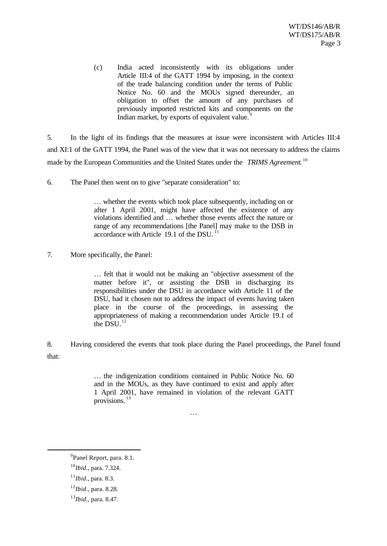(c) India acted inconsistently with its obligations under Article III:4 of the GATT 1994 by imposing, in the context of the trade balancing condition under the terms of Public Notice No. 60 and the MOUs signed thereunder, an obligation to offset the amount of any purchases of previously imported restricted kits and components on the Indian market, by exports of equivalent value.<sup>9</sup>

5. In the light of its findings that the measures at issue were inconsistent with Articles III:4 and XI:1 of the GATT 1994, the Panel was of the view that it was not necessary to address the claims made by the European Communities and the United States under the *TRIMS Agreement*. 10

6. The Panel then went on to give "separate consideration" to:

… whether the events which took place subsequently, including on or after 1 April 2001, might have affected the existence of any violations identified and … whether those events affect the nature or range of any recommendations [the Panel] may make to the DSB in accordance with Article 19.1 of the DSU.<sup>11</sup>

7. More specifically, the Panel:

… felt that it would not be making an "objective assessment of the matter before it", or assisting the DSB in discharging its responsibilities under the DSU in accordance with Article 11 of the DSU, had it chosen not to address the impact of events having taken place in the course of the proceedings, in assessing the appropriateness of making a recommendation under Article 19.1 of the  $\overline{DSU}^{12}$ 

8. Having considered the events that took place during the Panel proceedings, the Panel found that:

> … the indigenization conditions contained in Public Notice No. 60 and in the MOUs, as they have continued to exist and apply after 1 April 2001, have remained in violation of the relevant GATT provisions.<sup>13</sup>

> > …

<sup>&</sup>lt;sup>9</sup> Panel Report, para. 8.1.

<sup>10</sup>*Ibid*., para. 7.324.

<sup>11</sup>*Ibid*., para. 8.3.

<sup>12</sup>*Ibid*., para. 8.28.

<sup>13</sup>*Ibid*., para. 8.47.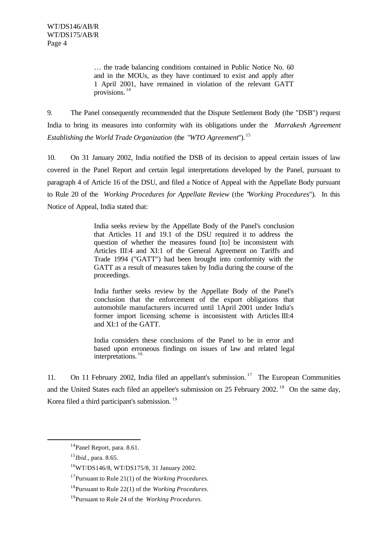… the trade balancing conditions contained in Public Notice No. 60 and in the MOUs, as they have continued to exist and apply after 1 April 2001, have remained in violation of the relevant GATT provisions. <sup>14</sup>

9. The Panel consequently recommended that the Dispute Settlement Body (the "DSB") request India to bring its measures into conformity with its obligations under the *Marrakesh Agreement Establishing the World Trade Organization* (the "*WTO Agreement*"). <sup>15</sup>

10. On 31 January 2002, India notified the DSB of its decision to appeal certain issues of law covered in the Panel Report and certain legal interpretations developed by the Panel, pursuant to paragraph 4 of Article 16 of the DSU, and filed a Notice of Appeal with the Appellate Body pursuant to Rule 20 of the *Working Procedures for Appellate Review* (the "*Working Procedures*"). In this Notice of Appeal, India stated that:

> India seeks review by the Appellate Body of the Panel's conclusion that Articles 11 and 19.1 of the DSU required it to address the question of whether the measures found [to] be inconsistent with Articles III:4 and XI:1 of the General Agreement on Tariffs and Trade 1994 ("GATT") had been brought into conformity with the GATT as a result of measures taken by India during the course of the proceedings.

> India further seeks review by the Appellate Body of the Panel's conclusion that the enforcement of the export obligations that automobile manufacturers incurred until 1 April 2001 under India's former import licensing scheme is inconsistent with Articles III:4 and XI:1 of the GATT.

> India considers these conclusions of the Panel to be in error and based upon erroneous findings on issues of law and related legal interpretations. <sup>16</sup>

11. On 11 February 2002, India filed an appellant's submission.<sup>17</sup> The European Communities and the United States each filed an appellee's submission on 25 February 2002.<sup>18</sup> On the same day, Korea filed a third participant's submission.<sup>19</sup>

<sup>&</sup>lt;sup>14</sup>Panel Report, para. 8.61.

<sup>15</sup>*Ibid*., para. 8.65.

<sup>16</sup>WT/DS146/8, WT/DS175/8, 31 January 2002.

<sup>17</sup>Pursuant to Rule 21(1) of the *Working Procedures*.

<sup>18</sup>Pursuant to Rule 22(1) of the *Working Procedures*.

<sup>19</sup>Pursuant to Rule 24 of the *Working Procedures*.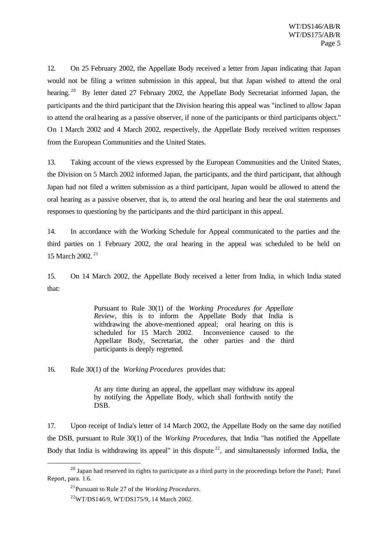12. On 25 February 2002, the Appellate Body received a letter from Japan indicating that Japan would not be filing a written submission in this appeal, but that Japan wished to attend the oral hearing.<sup>20</sup> By letter dated 27 February 2002, the Appellate Body Secretariat informed Japan, the participants and the third participant that the Division hearing this appeal was "inclined to allow Japan to attend the oral hearing as a passive observer, if none of the participants or third participants object." On 1 March 2002 and 4 March 2002, respectively, the Appellate Body received written responses from the European Communities and the United States.

13. Taking account of the views expressed by the European Communities and the United States, the Division on 5 March 2002 informed Japan, the participants, and the third participant, that although Japan had not filed a written submission as a third participant, Japan would be allowed to attend the oral hearing as a passive observer, that is, to attend the oral hearing and hear the oral statements and responses to questioning by the participants and the third participant in this appeal.

14. In accordance with the Working Schedule for Appeal communicated to the parties and the third parties on 1 February 2002, the oral hearing in the appeal was scheduled to be held on 15 March 2002.<sup>21</sup>

15. On 14 March 2002, the Appellate Body received a letter from India, in which India stated that:

> Pursuant to Rule 30(1) of the *Working Procedures for Appellate Review*, this is to inform the Appellate Body that India is withdrawing the above-mentioned appeal; oral hearing on this is scheduled for 15 March 2002. Inconvenience caused to the Appellate Body, Secretariat, the other parties and the third participants is deeply regretted.

16. Rule 30(1) of the *Working Procedures* provides that:

At any time during an appeal, the appellant may withdraw its appeal by notifying the Appellate Body, which shall forthwith notify the DSB.

17. Upon receipt of India's letter of 14 March 2002, the Appellate Body on the same day notified the DSB, pursuant to Rule 30(1) of the *Working Procedures*, that India "has notified the Appellate Body that India is withdrawing its appeal" in this dispute  $22$ , and simultaneously informed India, the

<sup>&</sup>lt;sup>20</sup> Japan had reserved its rights to participate as a third party in the proceedings before the Panel; Panel Report, para. 1.6.

<sup>21</sup>Pursuant to Rule 27 of the *Working Procedures*.

<sup>22</sup>WT/DS146/9, WT/DS175/9, 14 March 2002.